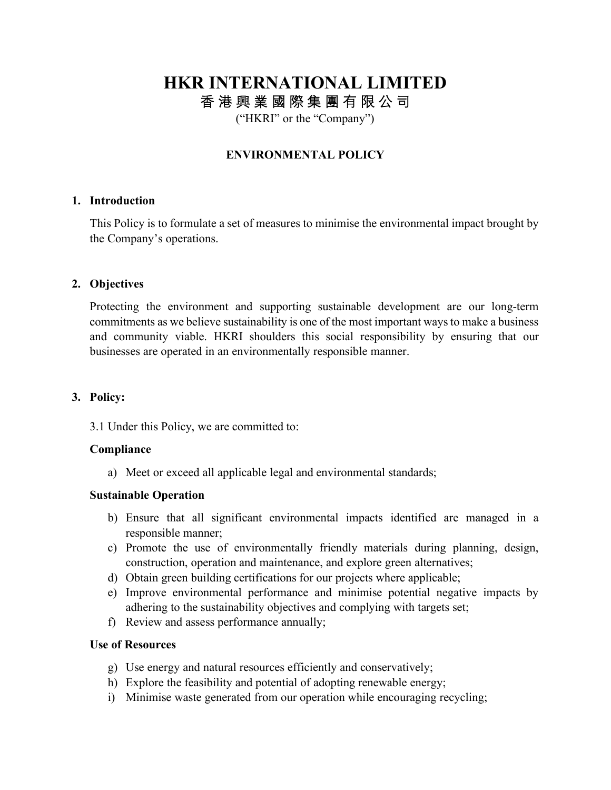# **HKR INTERNATIONAL LIMITED** 香 港 興 業 國 際 集 團 有 限 公 司

("HKRI" or the "Company")

# **ENVIRONMENTAL POLICY**

## **1. Introduction**

This Policy is to formulate a set of measures to minimise the environmental impact brought by the Company's operations.

## **2. Objectives**

Protecting the environment and supporting sustainable development are our long-term commitments as we believe sustainability is one of the most important ways to make a business and community viable. HKRI shoulders this social responsibility by ensuring that our businesses are operated in an environmentally responsible manner.

#### **3. Policy:**

3.1 Under this Policy, we are committed to:

#### **Compliance**

a) Meet or exceed all applicable legal and environmental standards;

#### **Sustainable Operation**

- b) Ensure that all significant environmental impacts identified are managed in a responsible manner;
- c) Promote the use of environmentally friendly materials during planning, design, construction, operation and maintenance, and explore green alternatives;
- d) Obtain green building certifications for our projects where applicable;
- e) Improve environmental performance and minimise potential negative impacts by adhering to the sustainability objectives and complying with targets set;
- f) Review and assess performance annually;

#### **Use of Resources**

- g) Use energy and natural resources efficiently and conservatively;
- h) Explore the feasibility and potential of adopting renewable energy;
- i) Minimise waste generated from our operation while encouraging recycling;